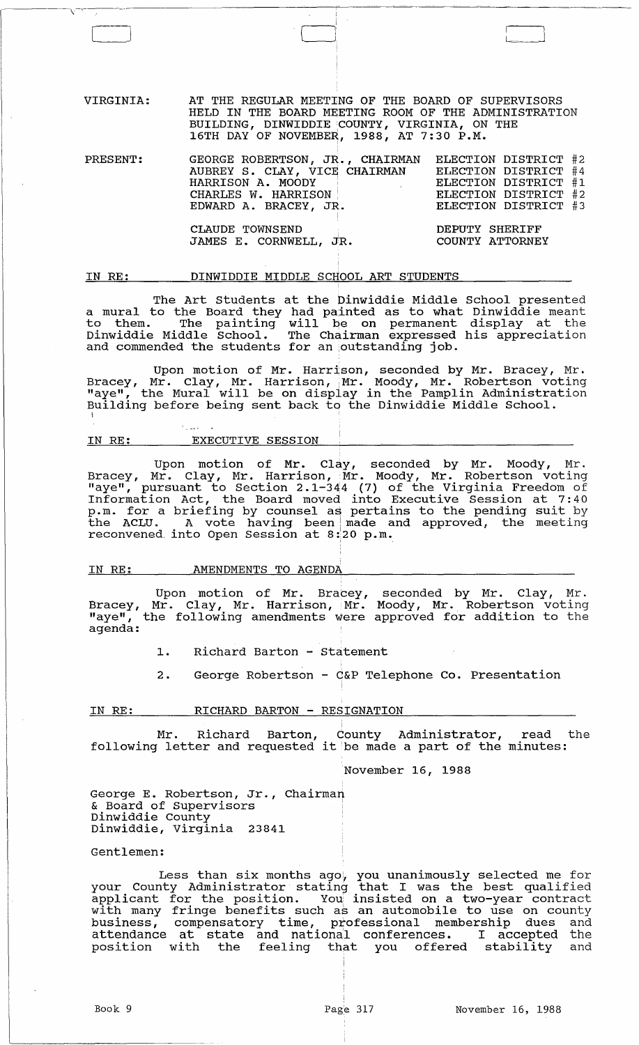VIRGINIA: AT THE REGULAR MEET1NG OF THE BOARD OF SUPERVISORS HELD IN THE BOARD MEETING ROOM OF THE ADMINISTRATION BUILDING, DINWIDDIE COUNTY, VIRGINIA, ON THE  $16\texttt{TH}$  DAY OF NOVEMBER, 1988, AT 7:30 P.M.

ا<br>ب

| PRESENT: | GEORGE ROBERTSON, JR., CHAIRMAN ELECTION DISTRICT #2<br>AUBREY S. CLAY, VICE CHAIRMAN<br>HARRISON A. MOODY<br>CHARLES W. HARRISON<br>EDWARD A. BRACEY, JR. | ELECTION DISTRICT #4<br>ELECTION DISTRICT #1<br>ELECTION DISTRICT #2<br>ELECTION DISTRICT #3 |
|----------|------------------------------------------------------------------------------------------------------------------------------------------------------------|----------------------------------------------------------------------------------------------|
|          | CLAUDE TOWNSEND<br>JAMES E. CORNWELL, JR.                                                                                                                  | DEPUTY SHERIFF<br>COUNTY ATTORNEY                                                            |

### IN RE: DINWIDDIE MIDDLE SCHOOL ART STUDENTS

The Art Students at the binwiddie Middle School presented a mural to the Board they had painted as to what Dinwiddie meant d marar co the board they had painted as to what binwiddle meant Dinwiddie Middle School. The Chairman expressed his appreciation and commended the students for an outstanding job.

Upon motion of Mr. Harrison, seconded by Mr. Bracey, Mr. Bracey, Mr. Clay, Mr. Harrison, Mr. Moody, Mr. Robertson voting "aye", the Mural will be on display in the Pamplin Administration Building before being sent back to the Dinwiddie Middle School.

# IN RE: EXECUTIVE SESSION

**County** 

 $-\sqrt{1}$ 

 $\llbracket$ 

 $\mathbf i$ 

Upon motion of Mr. Clay, seconded by Mr. Moody, Mr. Bracey, Mr. Clay, Mr. Harrison, Mr. Moody, Mr. Robertson voting "aye", pursuant to Section 2.1-344 (7) of the Virginia Freedom of Information Act, the Board moved into Executive Session at 7: 40 p.m. for a briefing by counsel as pertains to the pending suit by the ACLU. A vote having been made and approved, the meeting reconvened, into Open Session at 8:20 p.m.

## IN RE: AMENDMENTS TO AGENDA

Upon motion of Mr. Bracey, seconded by Mr. Clay, Mr. Bracey, Mr. Clay, Mr. Harrison, Mr. Moody, Mr. Robertson voting "aye", the following amendments were approved for addition to the agenda:

- 1. Richard Barton Statement
- 2. George Robertson C&P Telephone Co. Presentation

### IN RE: RICHARD BARTON - RESIGNATION

Mr. Richard Barton,  $\stackrel{\dagger}{\text{county}}$  Administrator, read the<br>following letter and requested it be made a part of the minutes:

November 16, 1988

George E. Robertson, Jr., Chairman & Board of Supervisors Dinwiddie County Dinwiddie, Virginia 23841

### Gentlemen:

Less than six months ago, you unanimously selected me for your County Administrator stating that I was the best qualified applicant for the position. You: insisted on a two-year contract with many fringe benefits such as an automobile to use on county business, compensatory time, professional membership dues and business, compensatory time, professional membersing dues and accenaance at state and national conferences. I accepted the<br>position with the feeling that you offered stability and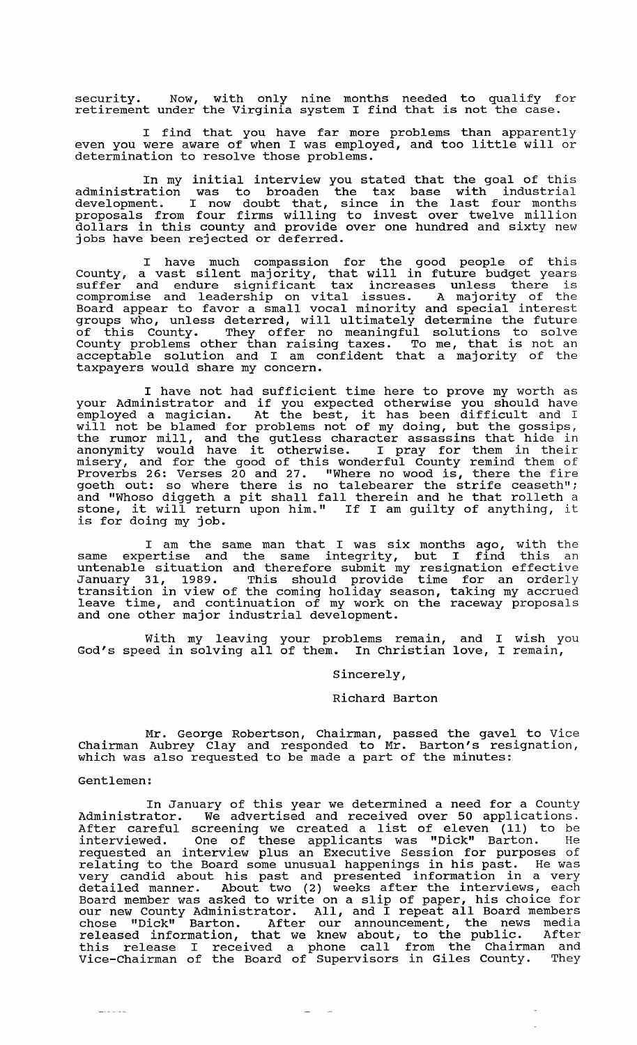security. NOw, with only nine months needed to qualify for security. When with only hine months heeded to qualify it

I find that you have far more problems than apparently even you were aware of when I was employed, and too little will or determination to resolve those problems.

In my initial interview you stated that the goal of this administration was to broaden the tax base with industrial development. I now doubt that, since in the last four months proposals from four firms willing to invest over twelve million dollars in this county and provide over one hundred and sixty new jobs have been rejected or deferred.

I have much compassion for the good people of this County, a vast silent majority, that will in future budget years suffer and endure significant tax increases unless there is compromise and leadership on vital issues. A majority of the Board appear to favor a small vocal minority and special interest groups who, unless deterred, will ultimately determine the future of this County. They offer no meaningful solutions to solve County problems other than raising taxes. To me, that is not an souncy presions cencil than functing cance. To me, end is not an taxpayers would share my concern.

I have not had sufficient time here to prove my worth as your Administrator and if you expected otherwise you should have your Administrator and if you expected otnerwise you snould nave<br>employed a magician. At the best, it has been difficult and I will not be blamed for problems not of my doing, but the gossips, with not be bidded for problems not of my doing, but the gobsipo,<br>the rumor mill, and the gutless character assassins that hide in<br>anonymity would have it otherwise. I pray for them in their misery, and for the good of this wonderful County remind them of Proverbs 26: Verses 20 and 27. "Where no wood is, there the fire proveibs 20. verses 20 and 27. Where no wood is, there the fire position out: so where there is no talebearer the strife ceaseth"; and "Whoso diggeth a pit shall fall therein and he that rolleth a and "whoso diggeth a pit shall fall therein and he that rolleth a<br>stone, it will return upon him." If I am guilty of anything, it is for doing my job.

I am the same man that I was six months ago, with the same expertise and the same integrity, but I find this an basic experience and the same incegrity, but I find this an January 31, 1989. This should provide time for an orderly transition in view of the coming holiday season, taking my accrued leave time, and continuation of my work on the raceway proposals and one other major industrial development.

with my leaving your problems remain, and I wish you with my leaving your problems lemain, and I wish you cod's speed in solving all of them. In Christian love, I remain,

Sincerely,

### Richard Barton

Mr. George Robertson, Chairman, passed the gavel to Vice Chairman Aubrey Clay and responded to Mr. Barton's resignation, which was also requested to be made a part of the minutes:

### Gentlemen:

In January of this year we determined a need for a County Administrator. We advertised and received over 50 applications. Administrator. We advertised and received over 50 applications.<br>After careful screening we created a list of eleven (11) to be interviewed. One of these applicants was "Dick" Barton. He requested an interview plus an Executive Session for purposes of relating to the Board some unusual happenings in his past. He was very candid about his past and presented information in a very detailed manner. About two (2) weeks after the interviews, each Board member was asked to write on a slip of paper, his choice for board member was asked to write on a silp of paper, his choice for<br>our new County Administrator. All, and I repeat all Board members chose "Dick" Barton. After our announcement, the news media enose Dick Dureon. After our announcement, end hewe means this release I received a phone call from the Chairman and Vice-Chairman of the Board of Supervisors in Giles County. They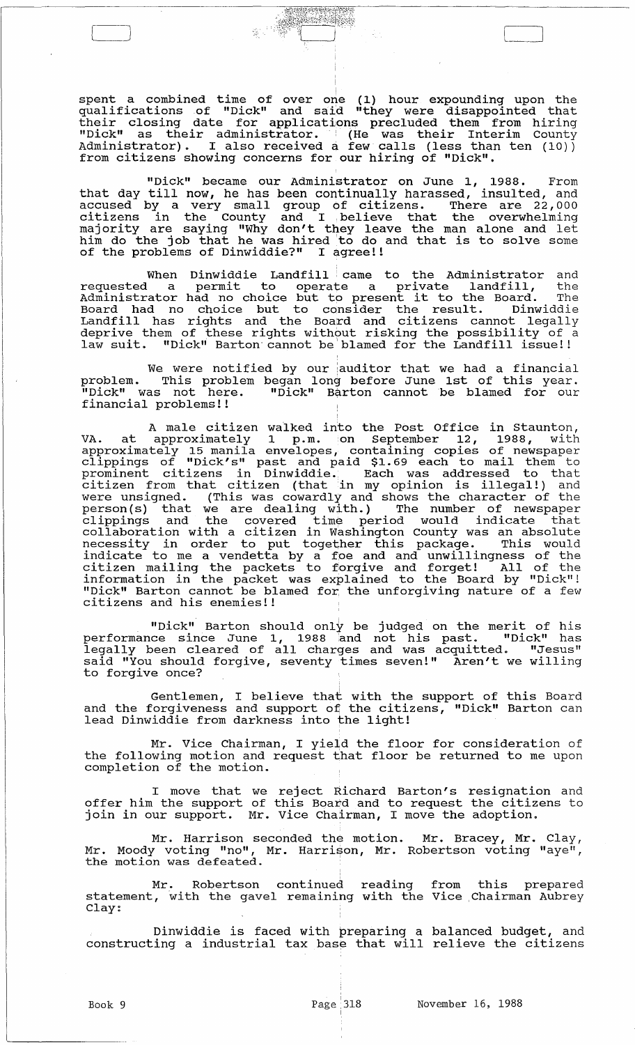spent a combined time of over one (1) hour expounding upon the qualifications of "Dick" and said "they were disappointed that their closing date for applications precluded them from hiring "Dick" as their administrator. (He was their Interim County Administrator). I also received a few calls (less than ten (10)) from citizens showing concerns for our hiring of "Dick".

~J [ n

"Dick" became our Administrator on June 1, 1988. From that day till now, he has been continually harassed, insulted, and accused by a very small group of citizens. There are 22,000 citizens in the County and I .believe that the overwhelming majority are saying "Why don't they leave the man alone and let majority are saying may don't they leave the man arone and ite of the problems of Dinwiddie?" I agree!!

When Dinwiddie Landfill came to the Administrator and requested a permit to operate a private landfill, the Administrator had no choice but to present it to the Board. The Board had no choice but to consider the result. Dinwiddie Landfill has rights and the Board and citizens cannot legally deprive them of these rights without risking the possibility of a law suit. "Dick" Barton'cannot be'blamed for the Landfill issue!!

We were notified by our auditor that we had a financial problem. This problem began long before June 1st of this year. "Dick" was not here. "Dick" Barton cannot be blamed for our financial problems!! '

A male citizen walked into the Post Office in staunton, VA. at approximately 1 p.m. on September 12, 1988, with approximately 15 manila envelopes, containing copies of newspaper clippings of "Dick's" past and paid \$1. 69 each to mail them to prominent citizens in Dinwiddie., Each was addressed to that citizen from that citizen (that in my opinion is illegal!) and were unsigned. (This was cowardly and shows the character of the were disigned. (This was cowdiary and shows end character of the<br>person(s) that we are dealing with.) The number of newspaper person(s) ends we die dediting with.) The humber of hewspaper<br>clippings and the covered time period would indicate that collaboration with a citizen in Washington County was an absolute corraporation with a creizen in mashington county was an absorbed indicate to me a vendetta by a foe and and unwillingness of the citizen mailing the packets to forgive and forget! All of the information in the packet was explained to the Board by "Dick"! "Dick" Barton cannot be blamed for. the unforgiving nature of a few citizens and his enemies!!

"Dick" Barton should only be judged on the merit of his performance since June 1, 1988 and not his past. "Dick" has legally been cleared of all charges and was acquitted. "Jesus" said "You should forgive, seventy times seven!" Aren't we willing to forgive once?

Gentlemen, I believe that with the support of this Board and the forgiveness and support of the citizens, "Dick" Barton can lead Dinwiddie from darkness into the light!

Mr. Vice Chairman, I yield the floor for consideration of the following motion and request that floor be returned to me upon completion of the motion.

I move that we reject Richard Barton's resignation and offer him the support of this Board and to request the citizens to join in our support. Mr. Vice Chairman, I move the adoption.

Mr. Harrison seconded the motion. Mr. Bracey, Mr. Clay, Mr. Moody voting "no", Mr. Harrison, Mr. Robertson voting "aye",<br>the motion was defeated.

Mr. Robertson continued reading from this prepared statement, with the gavel remaining with the Vice Chairman Aubrey<br>Clay:

Dinwiddie is faced with preparing a balanced budget, and constructing a industrial tax base that will relieve the citizens

Book 9 Page 318

I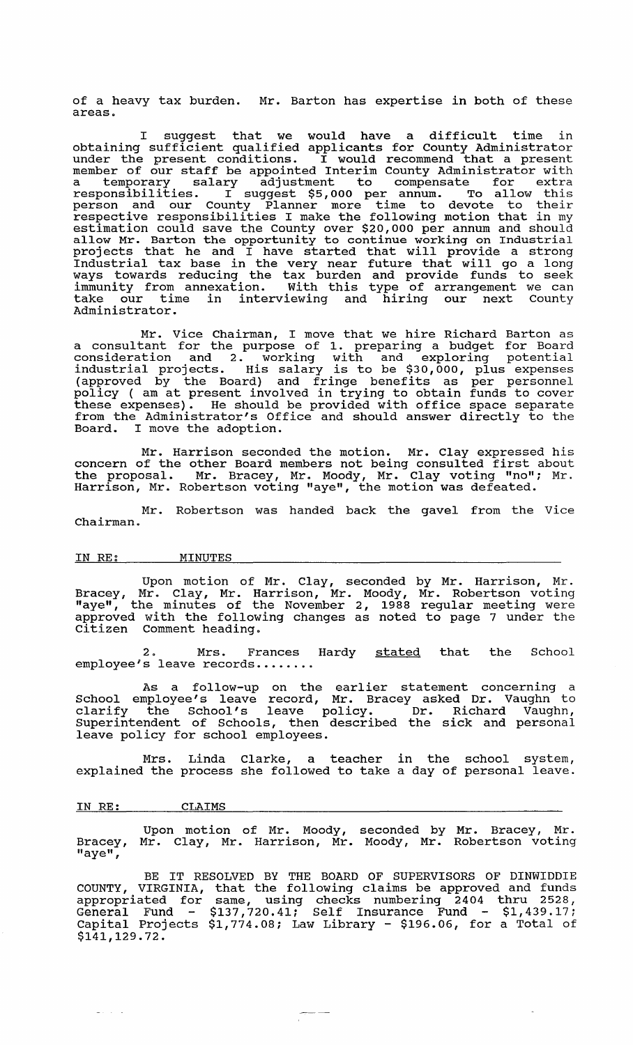of a heavy tax burden. Mr. Barton has expertise in both of these areas.

I suggest that we would have a difficult time in obtaining sufficient qualified applicants for County Administrator under the present conditions. I would recommend that a present member of our staff be appointed Interim County Administrator with a temporary salary adjustment to compensate for extra responsibilities. I suggest \$5,000 per annum. To allow this person and our County Planner more time to devote to their respective responsibilities I make the following motion that in my estimation could save the County over \$20,000 per annum and should allow Mr. Barton the opportunity to continue working on Industrial projects that he and I have started that will provide a strong Industrial tax base in the very near future that will go a long ways towards reducing the tax burden and provide funds to seek immunity from annexation. with this type of arrangement we can take our time in interviewing and hiring our next County Administrator.

Mr. Vice Chairman, I move that we hire Richard Barton as a consultant for the purpose of 1. preparing a budget for Board consideration and 2. working with and exploring potential industrial projects. His salary is to be \$30,000, plus expenses (approved by the Board) and fringe benefits as per personnel policy ( am at present involved in trying to obtain funds to cover these expenses). He should be provided with office space separate from the Administrator's Office and should answer directly to the Board. I move the adoption.

Mr. Harrison seconded the motion. Mr. Clay expressed his concern of the other Board members not being consulted first about the proposal. Mr. Bracey, Mr. Moody, Mr. Clay voting "no"; Mr. Harrison, Mr. Robertson voting "aye", the motion was defeated.

Mr. Robertson was handed back the gavel from the Vice Chairman.

### IN RE: MINUTES

Upon motion of Mr. Clay, seconded by Mr. Harrison, Mr. Bracey, Mr. Clay, Mr. Harrison, Mr. Moody, Mr. Robertson voting "aye", the minutes of the November 2, 1988 regular meeting were approved with the following changes as noted to page 7 under the citizen Comment heading.

2. Mrs. Frances Hardy stated that the School employee's leave records.......

As a follow-up on the earlier statement concerning a school employee's leave record, Mr. Bracey asked Dr. Vaughn to clarify the School's leave policy. Dr. Richard Vaughn, Superintendent of Schools, then described the sick and personal leave policy for school employees.

Mrs. Linda Clarke, a teacher in the school system, explained the process she followed to take a day of personal leave.

#### IN RE: CLAIMS

 $\Delta\omega_{\rm{eff}}$  ,  $\omega_{\rm{eff}}$ 

Bracey, "aye", Upon motion of Mr. Moody, Mr. Clay, Mr. Harrison, Mr. seconded by Mr. Bracey, Mr. Moody, Mr. Robertson voting

BE IT RESOLVED BY THE BOARD OF SUPERVISORS OF DINWIDDIE COUNTY, VIRGINIA, that the following claims be approved and funds appropriated for same, using checks numbering 2404 thru 2528, General Fund  $-$  \$137,720.41; Self Insurance Fund  $-$  \$1,439.17; Capital Projects \$1,774.08; Law Library - \$196.06, for a Total of \$141,129.72.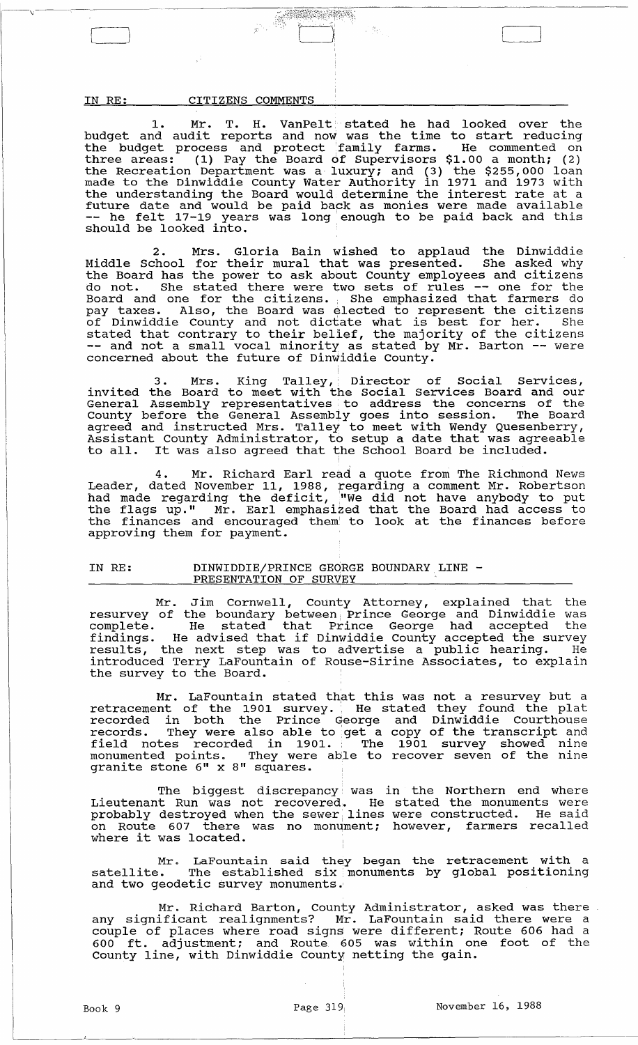$\overline{\phantom{a}}$ 

# IN RE: CITIZENS COMMENTS

1. Mr. T. H. VanPelt stated he had looked over the budget and audit reports and now was the time to start reducing the budget process and protect 'family farms. He commented on three areas: (1) Pay the Board of Supervisors \$1.00 a month; (2) the Recreation Department was a luxury; and (3) the \$255,000 loan made to the Dinwiddie County Water Authority in 1971 and 1973 with the understanding the Board would determine the interest rate at a future date and would be paid back as monies were made available -- he felt 17-19 years was long enough to be paid back and this should be looked into.

---J J

2. Mrs. Gloria Bain wished to applaud the Dinwiddie Middle School for their mural that was presented. She asked why the Board has the power to ask about County employees and citizens do not. She stated there were two sets of rules -- one for the Board and one for the citizens. • She emphasized that farmers do pay taxes. Also, the Board was elected to represent the citizens of Dinwiddie County and not dictate what is best for her. She stated that contrary to their belief, the majority of the citizens -- and not a small vocal minority as stated by Mr. Barton -- were concerned about the future of Dinwiddie County.

3. Mrs. King Talley, Director of Social Services, invited the Board to meet with the Social Services Board and our General Assembly representatives, to address the concerns of the County before the General Assembly goes into session. The Board agreed and instructed Mrs. Talley to meet with Wendy Quesenberry, Assistant County Administrator, to setup a date that was agreeable Assistant County Auministrator, to setup a date that was agree<br>to all. It was also agreed that the School Board be included.

4. Mr. Richard Earl read a quote from The Richmond News Leader, dated November 11, 1988, regarding a comment Mr. Robertson had made regarding the deficit, "We did not have anybody to put the flags up." Mr. Earl emphasized that the Board had access to the finances and encouraged them' to look at the finances before approving them for payment.

# IN RE: DINWIDDIE/PRINCE GEORGE BOUNDARY LINE -<br>PRESENTATION OF SURVEY

Mr. Jim Cornwell, County Attorney, explained that the resurvey of the boundary between Prince George and Dinwiddie was complete. He stated that Prince George and Binwidsic was findings. He advised that if Dinwiddie County accepted the survey results, the next step was to advertise a public hearing. He introduced Terry LaFountain of Rouse-Sirine Associates, to explain the survey to the Board.

Mr. LaFountain stated that this was not a resurvey but a retracement of the 1901 survey. He stated they found the plat recorded in both the Prince George and Dinwiddie Courthouse records. They were also able to 'get a copy of the transcript and field notes recorded in 1901. The 1901 survey showed nine monumented points. They were able to recover seven of the nine monumented points. They were able

The biggest discrepancy was in the Northern end where Lieutenant Run was not recovered. He stated the monuments were probably destroyed when the sewer lines were constructed. He said probably described when the sewer finds were constructed.<br>on Route 607 there was no monument; however, farmers recalled<br>where it was located.

Mr. LaFountain said they began the retracement with a satellite. The established six monuments by global positioning and two geodetic survey monuments.'

Mr. Richard Barton, County Administrator, asked was there any significant realignments? Mr. LaFountain said there were a couple of places where road signs were different; Route 606 had a 600 ft. adjustment; and Route 605 was within one foot of the County line, with Dinwiddie County netting the gain.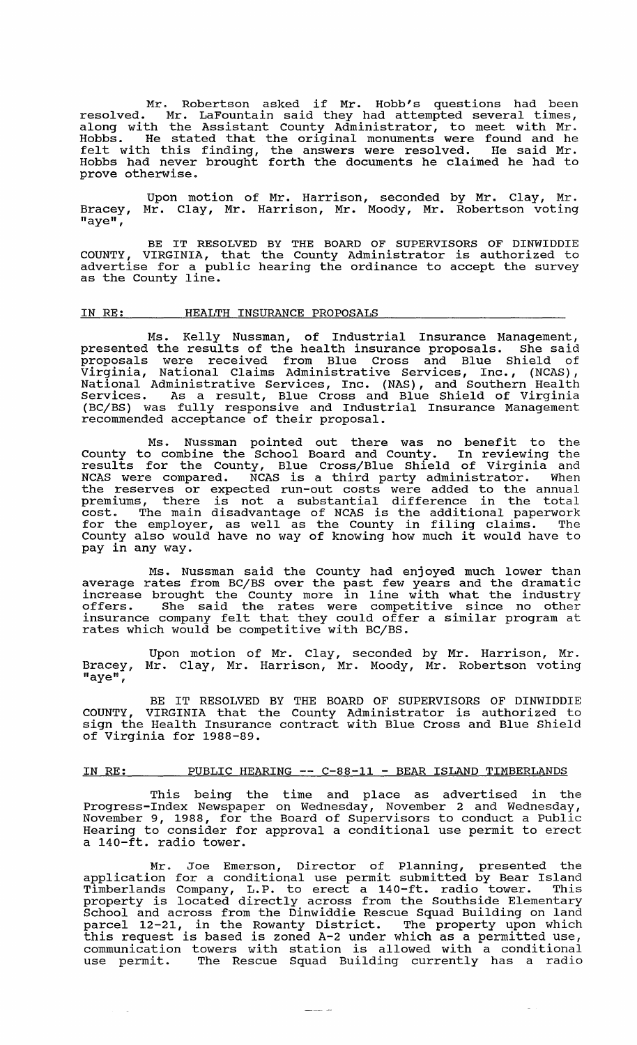Mr. Robertson asked if Mr. Hobb's questions had been resolved. Mr. LaFountain said they had attempted several times, along with the Assistant county Administrator, to meet with Mr. Hobbs. He stated that the original monuments were found and he felt with this finding, the answers were resolved. He said Mr. Hobbs had never brought forth the documents he claimed he had to prove otherwise.

Bracey, "aye", Upon motion of Mr. Harrison, seconded by Mr. Clay, Mr. Mr. Clay, Mr. Harrison, Mr. Moody, Mr. Robertson voting

BE IT RESOLVED BY THE BOARD OF SUPERVISORS OF DINWIDDIE<br>COUNTY, VIRGINIA, that the County Administrator is authorized to advertise for a public hearing the ordinance to accept the survey adversible for a pax<br>as the County line.

### IN RE: HEALTH INSURANCE PROPOSALS

Ms. Kelly Nussman, of Industrial Insurance Management, presented the results of the health insurance proposals. She said proposals were received from Blue Cross and Blue Shield of Virginia, National Claims Administrative services, Inc., (NCAS), National Administrative Services, Inc. (NAS), and Southern Health Services. As a result, Blue Cross and Blue Shield of Virginia (BC/BS) was fully responsive and Industrial Insurance Management recommended acceptance of their proposal.

Ms. Nussman pointed out there was no benefit to the County to combine the School Board and County. In reviewing the results for the County, Blue Cross/Blue Shield of Virginia and ncastes for the county, brac cross, brac bhicia of virginia and<br>NCAS were compared. NCAS is a third party administrator. When the reserves or expected run-out costs were added to the annual premiums, there is not a substantial difference in the total cost. The main disadvantage of NCAS is the additional paperwork for the employer, as well as the County in filing claims. The County also would have no way of knowing how much it would have to pay in any way.

Ms. Nussman said the County had enjoyed much lower than average rates from BC/BS over the past few years and the dramatic increase brought the County more in line with what the industry<br>offers. She said the rates were competitive since no other insurance company felt that they could offer a similar program at rates which would be competitive with BC/BS.

Upon motion of Mr. Clay, seconded by Mr. Harrison, Mr. Bracey, Mr. Clay, Mr. Harrison, Mr. Moody, Mr. Robertson voting "aye",

BE IT RESOLVED BY THE BOARD OF SUPERVISORS OF DINWIDDIE<br>COUNTY, VIRGINIA that the County Administrator is authorized to sign the Health Insurance contract with Blue Cross and Blue Shield of Virginia for 1988-89.

## IN RE: PUBLIC HEARING -- C-88-11 - BEAR ISLAND TIMBERLANDS

This being the time and place as advertised in the Progress-Index Newspaper on Wednesday, November 2 and Wednesday, November 9, 1988, for the Board of Supervisors to conduct a Public Hearing to consider for approval a conditional use permit to erect a 140-ft. radio tower.

Mr. Joe Emerson, Director of Planning, presented the application for a conditional use permit submitted by Bear Island apprication for a conditional ase permit Submitted by Bear Island<br>Timberlands Company, L.P. to erect a 140-ft. radio tower. This property is located directly across from the southside Elementary School and across from the Dinwiddie Rescue Squad Building on land parcel 12-21, in the Rowanty District. The property upon which parcer 12-21, in the Rowancy Discrice. The property upon which<br>this request is based is zoned A-2 under which as a permitted use, communication towers with station is allowed with a conditional use permit. The Rescue Squad Building currently has a radio

 $\frac{1}{2} \frac{1}{2} \frac{1}{2} \frac{1}{2} \frac{1}{2} \frac{1}{2} \frac{1}{2} \frac{1}{2} \frac{1}{2} \frac{1}{2} \frac{1}{2} \frac{1}{2} \frac{1}{2} \frac{1}{2} \frac{1}{2} \frac{1}{2} \frac{1}{2} \frac{1}{2} \frac{1}{2} \frac{1}{2} \frac{1}{2} \frac{1}{2} \frac{1}{2} \frac{1}{2} \frac{1}{2} \frac{1}{2} \frac{1}{2} \frac{1}{2} \frac{1}{2} \frac{1}{2} \frac{1}{2} \frac{$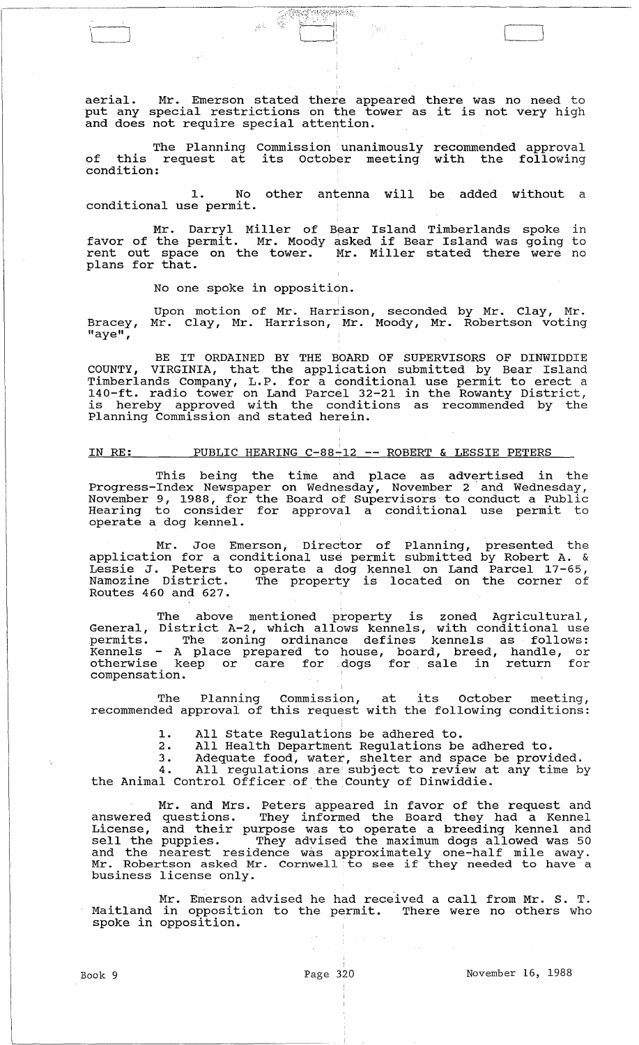aerial. Mr. Emerson stated there appeared there was no need to<br>put any special restrictions on the tower as it is not very high and does not require special attention.

 $\overline{\mathbb{C}}$ : ...  $\overline{\mathbb{C}}$  . ...,  $\overline{\mathbb{C}}$  . ...,  $\overline{\mathbb{C}}$ ;~ }-~£i الصينسيا

The Planning commission unanimously recommended approval of this request at its october meeting with the following condition:

1. No other antenna will be added without a conditional use permit.

Mr. Darryl Miller of Bear Island Timberlands spoke in<br>favor of the permit. Mr. Moody asked if Bear Island was going to rater of the porms of intensing ashed in sear refaind and geing of plans for that.

No one spoke in opposition.

 $\frac{1}{2} \sum_{i=1}^n \frac{1}{2} \omega_i$ 

 $\begin{tabular}{|c|c|c|c|c|} \hline \quad \quad & \quad \quad & \quad \quad \\ \hline \quad \quad & \quad \quad & \quad \quad \\ \hline \quad \quad & \quad \quad & \quad \quad \\ \hline \quad \quad & \quad \quad & \quad \quad \\ \hline \quad \quad & \quad \quad & \quad \quad \\ \hline \quad \quad & \quad \quad & \quad \quad \\ \hline \quad \quad & \quad \quad & \quad \quad \\ \hline \quad \quad & \quad \quad & \quad \quad \\ \hline \quad \quad & \quad \quad & \quad \quad \\ \hline \quad \quad & \quad \quad & \quad \quad \\ \hline \quad \quad & \quad \quad & \quad \quad \\ \hline \$ 

Bracey, "aye", Upon motion of Mr. Harrison, seconded by Mr. Clay, Mr. Mr. Clay, Mr. Harrison, Mr. Moody, Mr. Robertson voting

BE IT ORDAINED BY THE BOARD OF SUPERVISORS OF DINWIDDIE COUNTY, VIRGINIA, that the application submitted by Bear Island Timberlands Company, L.P. for a conditional use permit to erect a 140-ft. radio tower on Land Parcel 32-21 in the Rowanty District, is hereby approved with the conditions as recommended by the Planning Commission and stated herein.

 $\frac{1}{1}$ 

### IN RE: PUBLIC HEARING C-88-12 -- ROBERT & LESSIE PETERS

This being the time and place as advertised in the Progress-Index Newspaper on Wednesday, November 2' and Wednesday, November 9, 1988, for the Board of supervisors to conduct a Public Hearing to consider for approval a conditional use permit to operate a dog kennel.

Mr. Joe Emerson, Director of Planning, presented the application for a conditional use permit submitted by Robert A. & Lessie J. Peters to operate a dog kennel on Land Parcel 17-65, hessie o. Fecels to operate a dog kenner on hand farcer 17 05, Routes 460 and 627.

The above mentioned property is zoned Agricultural, General, District A-2, which allows kennels, with conditional use permits. The zoning ordinance defines kennels as follows: Kennels - A place prepared to pouse, board, breed, handle, or otherwise keep or care for .dogs for sale in return for compensation.

The Planning Commission, at its October meeting, recommended approvai of this request with the following conditions:

1. All State Regulations be adhered to.<br>2. All Health Department Regulations be

2. All Health Department Regulations be adhered to.

3. Adequate food, water, shelter and space be provided.

4. All regulations are' subject to review at any time by 4. All regulations are subject to review at<br>the Animal Control Officer of the County of Dinwiddie.

Mr. and Mrs. Peters appeared in favor of the request and answered questions. They informed the Board they had a Kennel answered questrons. They informed the board they had a nemer Ell the puppies. They advised the maximum dogs allowed was 50 and the nearest residence was approximately one-half mile away. Mr. Robertson asked Mr. Cornwell to see if they needed to have a business license only.

Mr. Emerson advised he had received a call from Mr. S. T. Maitland in opposition to the permit. There were no others who spoke in opposition.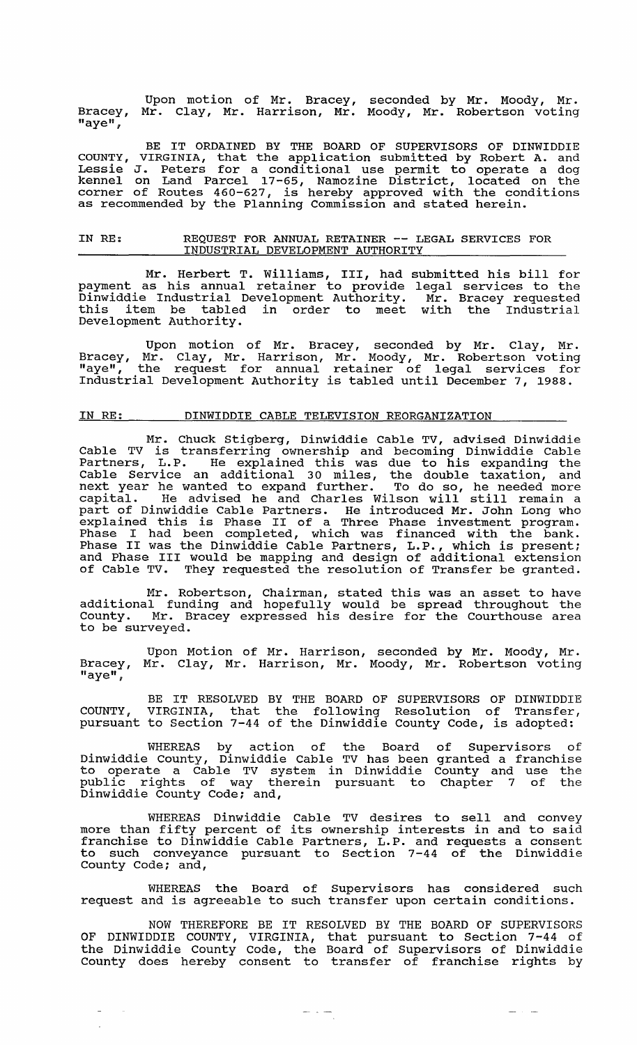Bracey, "aye", Upon motion of Mr. Bracey, Mr. Clay, Mr. Harrison, Mr. seconded by Mr. Moody, Mr. Moody, Mr. Robertson voting

BE IT ORDAINED BY THE BOARD OF SUPERVISORS OF DINWIDDIE COUNTY, VIRGINIA, that the application submitted by Robert A. and Lessie J. Peters for a conditional use permit to operate a dog kennel on Land Parcel 17-65, Namozine District, located on the corner of Routes 460-627, is hereby approved with the conditions as recommended by the Planning Commission and stated herein.

### IN RE: REQUEST FOR ANNUAL RETAINER -- LEGAL SERVICES FOR INDUSTRIAL DEVELOPMENT AUTHORITY

Mr. Herbert T. Williams, III, had submitted his bill for payment as his annual retainer to provide legal services to the Dinwiddie Industrial Development Authority. Mr. Bracey requested this item be tabled in order to meet with the Industrial Development Authority.

Upon motion of Mr. Bracey, seconded by Mr. Clay, Mr. Bracey, Mr. Clay, Mr. Harrison, Mr. Moody, Mr. Robertson voting "aye", the request for annual retainer of legal services for Industrial Development Authority is tabled until December 7, 1988.

### IN RE: DINWIDDIE CABLE TELEVISION REORGANIZATION

Mr. Chuck Stigberg, Dinwiddie Cable TV, advised Dinwiddie Cable TV is transferring ownership and becoming Dinwiddie Cable Partners, L.P. He explained this was due to his expanding the Cable Service an additional 30 miles, the double taxation, and next year he wanted to expand further. To do so, he needed more capital. He advised he and Charles Wilson will still remain a part of Dinwiddie Cable Partners. He introduced Mr. John Long who part of Dinwidule cable raftners. He incroduced Hr. Bonn hong who Phase I had been completed, which was financed with the bank. Phase II was the Dinwiddie Cable Partners, L.P., which is present; and Phase III would be mapping and design of additional extension of Cable TV. They requested the resolution of Transfer be granted.

Mr. Robertson, Chairman, stated this was an asset to have additional funding and hopefully would be spread throughout the County. Mr. Bracey expressed his desire for the Courthouse area to be surveyed.

Upon Motion of Mr. Harrison, seconded by Mr. Moody, Mr. Bracey,  $"$ aye $"$ Mr. Clay, Mr. Harrison, Mr. Moody, Mr. Robertson voting

BE IT RESOLVED BY THE BOARD OF SUPERVISORS OF DINWIDDIE COUNTY, VIRGINIA, that the following Resolution of Transfer, pursuant to section 7-44 of the Dinwiddie County Code, is adopted:

WHEREAS by action of the Board Dinwiddie County, Dinwiddie Cable TV has been to operate a Cable TV system in Dinwiddie public rights of way therein pursuant to Dinwiddie County Code; and, of Supervisors of granted a franchise County and use the Chapter 7 of the

WHEREAS Dinwiddie Cable TV desires to sell and convey more than fifty percent of its ownership interests in and to said franchise to Dinwiddie Cable Partners, L.P. and requests a consent to such conveyance pursuant to Section 7-44 of the Dinwiddie County Code; and,

WHEREAS the Board of supervisors has considered such request and is agreeable to such transfer upon certain conditions.

NOW THEREFORE BE IT RESOLVED BY THE BOARD OF SUPERVISORS OF DINWIDDIE COUNTY, VIRGINIA, that pursuant to section 7-44 of the Dinwiddie County Code, the Board of Supervisors of Dinwiddie County does hereby consent to transfer of franchise rights by

 $\frac{1}{2} \frac{1}{2} \frac{1}{2} \frac{1}{2} \frac{1}{2} \frac{1}{2} \frac{1}{2} \frac{1}{2} \frac{1}{2} \frac{1}{2} \frac{1}{2} \frac{1}{2} \frac{1}{2} \frac{1}{2} \frac{1}{2} \frac{1}{2} \frac{1}{2} \frac{1}{2} \frac{1}{2} \frac{1}{2} \frac{1}{2} \frac{1}{2} \frac{1}{2} \frac{1}{2} \frac{1}{2} \frac{1}{2} \frac{1}{2} \frac{1}{2} \frac{1}{2} \frac{1}{2} \frac{1}{2} \frac{$ 

 $\frac{1}{2}$  and  $\frac{1}{2}$  and  $\frac{1}{2}$ 

 $\equiv$ 

 $\sim$   $\sim$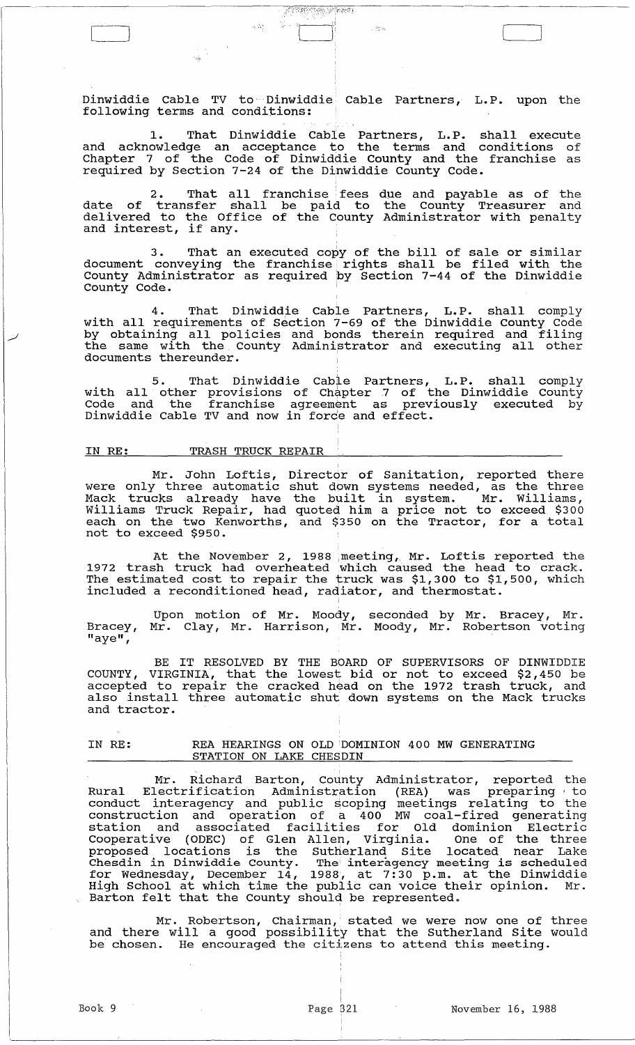Dinwiddie Cable TV to Dinwiddie Cable Partners, L.P. upon the following terms and conditions:

 $\pm 182$  in

**RESERVED BY REAL** 

 $\begin{array}{|c|c|c|c|c|}\hline \quad \quad & \quad \quad & \quad \quad & \quad \quad \\ \hline \quad \quad & \quad \quad & \quad \quad & \quad \quad & \quad \quad \\ \hline \quad \quad & \quad \quad & \quad \quad & \quad \quad & \quad \quad \\ \hline \end{array}$ 

1. That Dinwiddie Cable Partners, L.P. shall execute and acknowledge an acceptance to the terms and conditions of Chapter 7 of the Code of Dinwiddie County and the franchise as required by section 7-24 of the Dinwiddie County Code.

2. That all franchise fees due and payable as of the date of transfer shall be paid to the County Treasurer and delivered to the Office of the County Administrator with penalty<br>and interest, if any.

, 3. That an executed copy of the bill of sale or similar document conveying the franchise rights shall be filed with the County Administrator as required 'by section 7-44 of the Dinwiddie County Code. .

4. That Dinwiddie Cable Partners, L.P. shall comply with all requirements of Section 7-69 of the Dinwiddie County Code with all requirements of Section 7-09 of the binwiddle county code<br>by obtaining all policies and bonds therein required and filing by obcaining air poircles and bonds cherein required and firing<br>the same with the County Administrator and executing all other documents thereunder.

5. That Dinwiddie Cable Partners, L.P. shall comply with all other provisions of Chapter 7 of the Dinwiddie County Code and the franchise agreement as previously executed by Dinwiddie Cable TV and now in force and effect.

### IN RE: TRASH TRUCK REPAIR

Mr. John Loftis, Director of Sanitation, reported there were only three automatic shut down systems needed, as the three were only enree adeomatic bind down bybeems heeded, db ene enree Williams Truck Repair, had quoted him a price not to exceed \$300 each on the two Kenworths, and \$350 on the Tractor, for a total not to exceed \$950.

At the November 2, 1988 meeting, Mr. Loftis reported the 1972 trash truck had overheated which caused the head to crack. The estimated cost to repair the truck was \$1,300 to \$1,500, which included a reconditioned head, radiator, and thermostat.

Bracey, "aye", Upon motion of Mr. Moody, Mr. Clay, Mr. Harrison, Mr. seconded by Mr. Bracey, Mr. Moody, Mr. Robertson voting

BE IT RESOLVED BY THE BOARD OF SUPERVISORS OF DINWIDDIE COUNTY, VIRGINIA, that the lowest bid or not to exceed  $$2,450$  be accepted to repair the cracked head on the 1972 trash truck, and accepted to repair the cracked head on the 1972 crash truck, and<br>also install three automatic shut down systems on the Mack trucks and tractor.

IN RE: REA HEARINGS ON OLD 'DOMINION 400 MW GENERATING STATION ON LAKE CHESDIN

, Mr. Richard Barton, County Administrator, reported the Rural Electrification Administration (REA) was preparing to conduct interagency and public scoping meetings relating to the construction and operation of a 400 MW coal-fired generating station and associated facilities for Old dominion Electric Cooperative (ODEC) of Glen Allen, Virginia. One of the three proposed locations is the sutherland site located near Lake Chesdin in Dinwiddie county. The' interagency meeting is scheduled for Wednesday, December 14, 1988, at 7: 30 p.m. at the Dinwiddie High School at which time the public can voice their opinion. Mr. nigh school at which time the public can voice the Barton felt that the County should be represented.

Mr. Robertson, Chairman, stated we were now one of three and there will a good possibility that the Sutherland site would and there will a good possibility that the Sutherland Site<br>be chosen. He encouraged the citizens to attend this meeting.